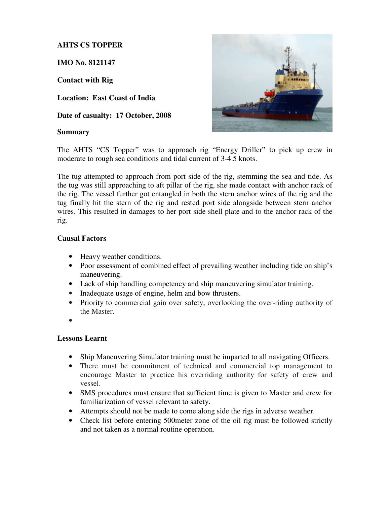## **AHTS CS TOPPER**

**IMO No. 8121147** 

**Contact with Rig** 

**Location: East Coast of India** 

**Date of casualty: 17 October, 2008** 

## **Summary**



The AHTS "CS Topper" was to approach rig "Energy Driller" to pick up crew in moderate to rough sea conditions and tidal current of 3-4.5 knots.

The tug attempted to approach from port side of the rig, stemming the sea and tide. As the tug was still approaching to aft pillar of the rig, she made contact with anchor rack of the rig. The vessel further got entangled in both the stern anchor wires of the rig and the tug finally hit the stern of the rig and rested port side alongside between stern anchor wires. This resulted in damages to her port side shell plate and to the anchor rack of the rig.

## **Causal Factors**

- Heavy weather conditions.
- Poor assessment of combined effect of prevailing weather including tide on ship's maneuvering.
- Lack of ship handling competency and ship maneuvering simulator training.
- Inadequate usage of engine, helm and bow thrusters.
- Priority to commercial gain over safety, overlooking the over-riding authority of the Master.
- •

## **Lessons Learnt**

- Ship Maneuvering Simulator training must be imparted to all navigating Officers.
- There must be commitment of technical and commercial top management to encourage Master to practice his overriding authority for safety of crew and vessel.
- SMS procedures must ensure that sufficient time is given to Master and crew for familiarization of vessel relevant to safety.
- Attempts should not be made to come along side the rigs in adverse weather.
- Check list before entering 500 meter zone of the oil rig must be followed strictly and not taken as a normal routine operation.